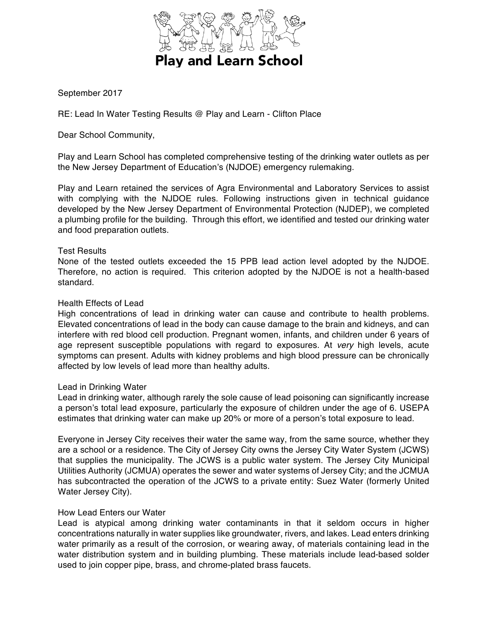

September 2017

RE: Lead In Water Testing Results @ Play and Learn - Clifton Place

Dear School Community,

Play and Learn School has completed comprehensive testing of the drinking water outlets as per the New Jersey Department of Education's (NJDOE) emergency rulemaking.

Play and Learn retained the services of Agra Environmental and Laboratory Services to assist with complying with the NJDOE rules. Following instructions given in technical guidance developed by the New Jersey Department of Environmental Protection (NJDEP), we completed a plumbing profile for the building. Through this effort, we identified and tested our drinking water and food preparation outlets.

# Test Results

None of the tested outlets exceeded the 15 PPB lead action level adopted by the NJDOE. Therefore, no action is required. This criterion adopted by the NJDOE is not a health-based standard.

# Health Effects of Lead

High concentrations of lead in drinking water can cause and contribute to health problems. Elevated concentrations of lead in the body can cause damage to the brain and kidneys, and can interfere with red blood cell production. Pregnant women, infants, and children under 6 years of age represent susceptible populations with regard to exposures. At *very* high levels, acute symptoms can present. Adults with kidney problems and high blood pressure can be chronically affected by low levels of lead more than healthy adults.

# Lead in Drinking Water

Lead in drinking water, although rarely the sole cause of lead poisoning can significantly increase a person's total lead exposure, particularly the exposure of children under the age of 6. USEPA estimates that drinking water can make up 20% or more of a person's total exposure to lead.

Everyone in Jersey City receives their water the same way, from the same source, whether they are a school or a residence. The City of Jersey City owns the Jersey City Water System (JCWS) that supplies the municipality. The JCWS is a public water system. The Jersey City Municipal Utilities Authority (JCMUA) operates the sewer and water systems of Jersey City; and the JCMUA has subcontracted the operation of the JCWS to a private entity: Suez Water (formerly United Water Jersey City).

# How Lead Enters our Water

Lead is atypical among drinking water contaminants in that it seldom occurs in higher concentrations naturally in water supplies like groundwater, rivers, and lakes. Lead enters drinking water primarily as a result of the corrosion, or wearing away, of materials containing lead in the water distribution system and in building plumbing. These materials include lead-based solder used to join copper pipe, brass, and chrome-plated brass faucets.